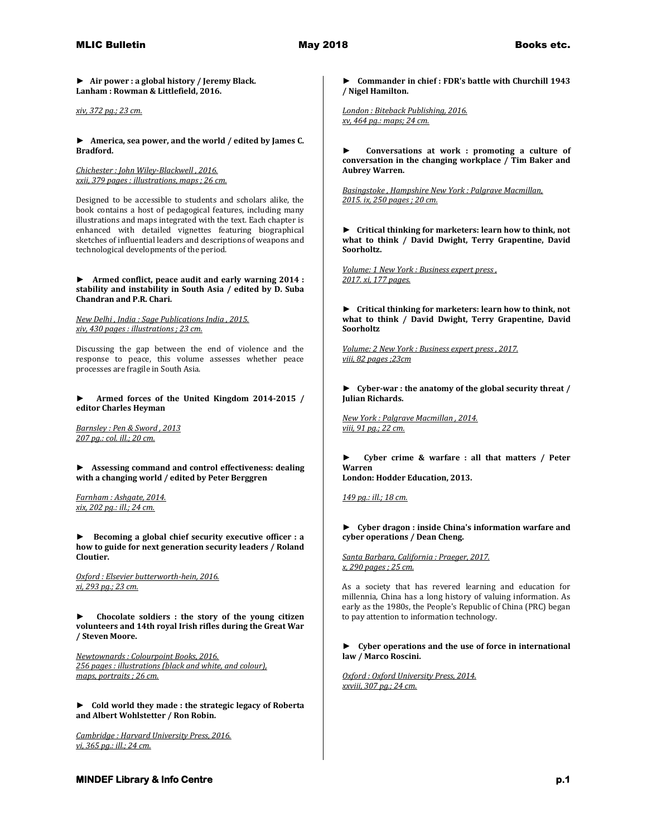**► Air power : a global history / Jeremy Black. Lanham : Rowman & Littlefield, 2016.**

*xiv, 372 pg.; 23 cm.* 

**► America, sea power, and the world / edited by James C. Bradford.**

*Chichester : John Wiley-Blackwell , 2016. xxii, 379 pages : illustrations, maps ; 26 cm.*

Designed to be accessible to students and scholars alike, the book contains a host of pedagogical features, including many illustrations and maps integrated with the text. Each chapter is enhanced with detailed vignettes featuring biographical sketches of influential leaders and descriptions of weapons and technological developments of the period.

## **► Armed conflict, peace audit and early warning 2014 : stability and instability in South Asia / edited by D. Suba Chandran and P.R. Chari.**

*New Delhi , India : Sage Publications India , 2015. xiv, 430 pages : illustrations ; 23 cm.*

Discussing the gap between the end of violence and the response to peace, this volume assesses whether peace processes are fragile in South Asia.

**► Armed forces of the United Kingdom 2014-2015 / editor Charles Heyman**

*Barnsley : Pen & Sword , 2013 207 pg.: col. ill.; 20 cm.* 

**► Assessing command and control effectiveness: dealing with a changing world / edited by Peter Berggren**

*Farnham : Ashgate, 2014. xix, 202 pg.: ill.; 24 cm.* 

**► Becoming a global chief security executive officer : a how to guide for next generation security leaders / Roland Cloutier.**

*Oxford : Elsevier butterworth-hein, 2016. xi, 293 pg.; 23 cm.* 

**► Chocolate soldiers : the story of the young citizen volunteers and 14th royal Irish rifles during the Great War / Steven Moore.**

*Newtownards : Colourpoint Books, 2016. 256 pages : illustrations (black and white, and colour), maps, portraits ; 26 cm.* 

**► Cold world they made : the strategic legacy of Roberta and Albert Wohlstetter / Ron Robin.**

*Cambridge : Harvard University Press, 2016. vi, 365 pg.: ill.; 24 cm.* 

**► Commander in chief : FDR's battle with Churchill 1943 / Nigel Hamilton.**

*London : Biteback Publishing, 2016. xv, 464 pg.: maps; 24 cm.* 

**► Conversations at work : promoting a culture of conversation in the changing workplace / Tim Baker and Aubrey Warren.**

*Basingstoke , Hampshire New York : Palgrave Macmillan, 2015. ix, 250 pages ; 20 cm.* 

**► Critical thinking for marketers: learn how to think, not what to think / David Dwight, Terry Grapentine, David Soorholtz.**

*Volume: 1 New York : Business expert press , 2017. xi, 177 pages.* 

**► Critical thinking for marketers: learn how to think, not what to think / David Dwight, Terry Grapentine, David Soorholtz**

*Volume: 2 New York : Business expert press , 2017. viii, 82 pages ;23cm* 

**► Cyber-war : the anatomy of the global security threat / Julian Richards.**

*New York : Palgrave Macmillan , 2014. viii, 91 pg.; 22 cm.* 

**► Cyber crime & warfare : all that matters / Peter Warren**

**London: Hodder Education, 2013.**

*149 pg.: ill.; 18 cm.* 

**► Cyber dragon : inside China's information warfare and cyber operations / Dean Cheng.**

*Santa Barbara, California : Praeger, 2017. x, 290 pages ; 25 cm.*

As a society that has revered learning and education for millennia, China has a long history of valuing information. As early as the 1980s, the People's Republic of China (PRC) began to pay attention to information technology.

### **► Cyber operations and the use of force in international law / Marco Roscini.**

*Oxford : Oxford University Press, 2014. xxviii, 307 pg.; 24 cm.*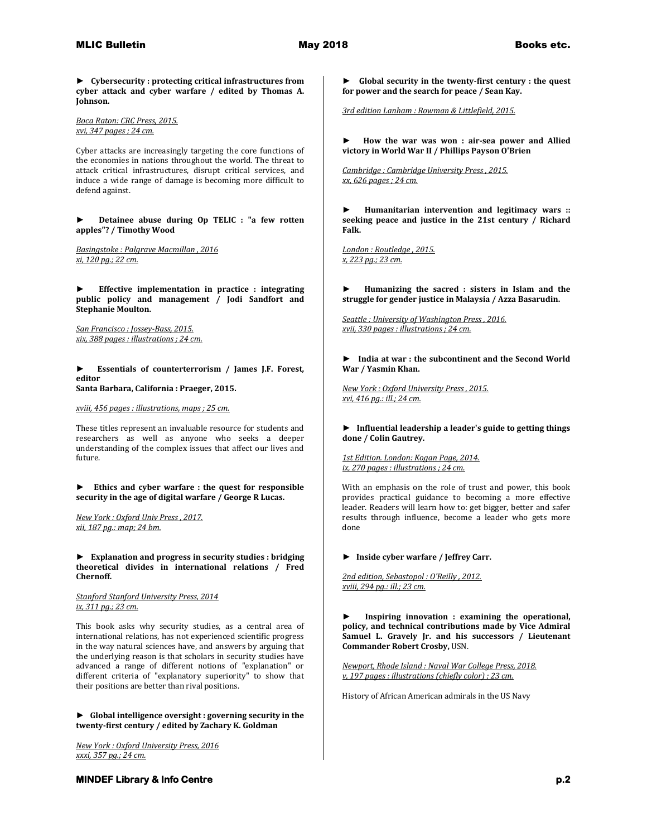**► Cybersecurity : protecting critical infrastructures from cyber attack and cyber warfare / edited by Thomas A. Johnson.**

*Boca Raton: CRC Press, 2015. xvi, 347 pages ; 24 cm.*

Cyber attacks are increasingly targeting the core functions of the economies in nations throughout the world. The threat to attack critical infrastructures, disrupt critical services, and induce a wide range of damage is becoming more difficult to defend against.

**► Detainee abuse during Op TELIC : "a few rotten apples"? / Timothy Wood**

*Basingstoke : Palgrave Macmillan , 2016 xi, 120 pg.; 22 cm.* 

**► Effective implementation in practice : integrating public policy and management / Jodi Sandfort and Stephanie Moulton.**

*San Francisco : Jossey-Bass, 2015. xix, 388 pages : illustrations ; 24 cm.* 

**► Essentials of counterterrorism / James J.F. Forest, editor Santa Barbara, California : Praeger, 2015.**

*xviii, 456 pages : illustrations, maps ; 25 cm.*

These titles represent an invaluable resource for students and researchers as well as anyone who seeks a deeper understanding of the complex issues that affect our lives and future.

**► Ethics and cyber warfare : the quest for responsible security in the age of digital warfare / George R Lucas.**

*New York : Oxford Univ Press , 2017. xii, 187 pg.: map; 24 bm.* 

**► Explanation and progress in security studies : bridging theoretical divides in international relations / Fred Chernoff.**

*Stanford Stanford University Press, 2014 ix, 311 pg.; 23 cm.*

This book asks why security studies, as a central area of international relations, has not experienced scientific progress in the way natural sciences have, and answers by arguing that the underlying reason is that scholars in security studies have advanced a range of different notions of "explanation" or different criteria of "explanatory superiority" to show that their positions are better than rival positions.

**► Global intelligence oversight : governing security in the twenty-first century / edited by Zachary K. Goldman**

*New York : Oxford University Press, 2016 xxxi, 357 pg.; 24 cm.* 

**► Global security in the twenty-first century : the quest for power and the search for peace / Sean Kay.**

*3rd edition Lanham : Rowman & Littlefield, 2015.* 

**► How the war was won : air-sea power and Allied victory in World War II / Phillips Payson O'Brien**

*Cambridge : Cambridge University Press , 2015. xx, 626 pages ; 24 cm.* 

**► Humanitarian intervention and legitimacy wars :: seeking peace and justice in the 21st century / Richard Falk.**

*London : Routledge , 2015. x, 223 pg.; 23 cm.* 

**► Humanizing the sacred : sisters in Islam and the struggle for gender justice in Malaysia / Azza Basarudin.**

*Seattle : University of Washington Press , 2016. xvii, 330 pages : illustrations ; 24 cm.* 

**► India at war : the subcontinent and the Second World War / Yasmin Khan.**

*New York : Oxford University Press , 2015. xvi, 416 pg.: ill.; 24 cm.* 

**► Influential leadership a leader's guide to getting things done / Colin Gautrey.**

*1st Edition. London: Kogan Page, 2014. ix, 270 pages : illustrations ; 24 cm.*

With an emphasis on the role of trust and power, this book provides practical guidance to becoming a more effective leader. Readers will learn how to: get bigger, better and safer results through influence, become a leader who gets more done

**► Inside cyber warfare / Jeffrey Carr.**

*2nd edition, Sebastopol : O'Reilly , 2012. xviii, 294 pg.: ill.; 23 cm.* 

**► Inspiring innovation : examining the operational, policy, and technical contributions made by Vice Admiral Samuel L. Gravely Jr. and his successors / Lieutenant Commander Robert Crosby,** USN.

*Newport, Rhode Island : Naval War College Press, 2018. v, 197 pages : illustrations (chiefly color) ; 23 cm.*

History of African American admirals in the US Navy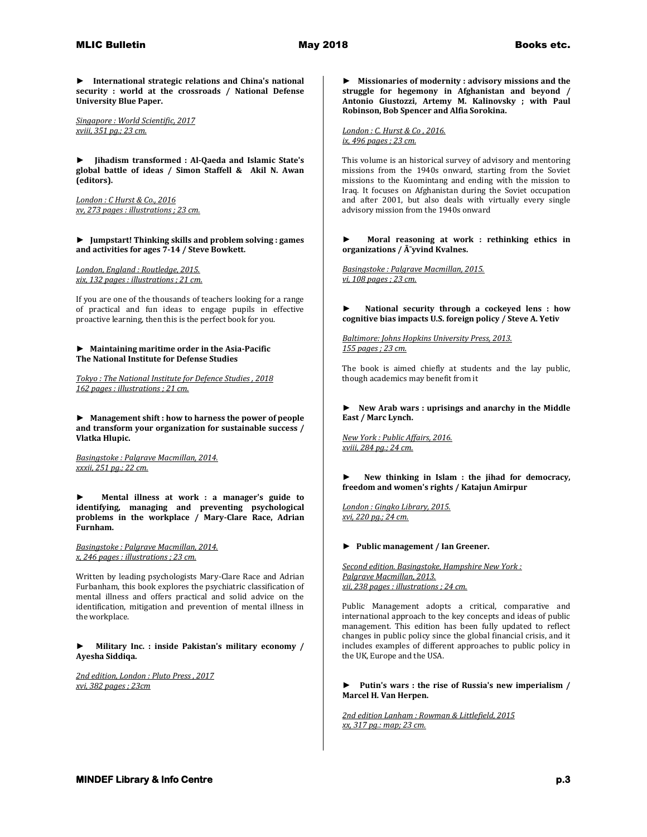**► International strategic relations and China's national security : world at the crossroads / National Defense University Blue Paper.**

*Singapore : World Scientific, 2017 xviii, 351 pg.; 23 cm.* 

**► Jihadism transformed : Al-Qaeda and Islamic State's global battle of ideas / Simon Staffell & Akil N. Awan (editors).**

*London : C Hurst & Co., 2016 xv, 273 pages : illustrations ; 23 cm.* 

**► Jumpstart! Thinking skills and problem solving : games and activities for ages 7-14 / Steve Bowkett.**

*London, England : Routledge, 2015. xix, 132 pages : illustrations ; 21 cm.*

If you are one of the thousands of teachers looking for a range of practical and fun ideas to engage pupils in effective proactive learning, then this is the perfect book for you.

### **► Maintaining maritime order in the Asia-Pacific The National Institute for Defense Studies**

*Tokyo : The National Institute for Defence Studies , 2018 162 pages : illustrations ; 21 cm.* 

**► Management shift : how to harness the power of people and transform your organization for sustainable success / Vlatka Hlupic.**

*Basingstoke : Palgrave Macmillan, 2014. xxxii, 251 pg.; 22 cm.* 

**► Mental illness at work : a manager's guide to identifying, managing and preventing psychological problems in the workplace / Mary-Clare Race, Adrian Furnham.**

*Basingstoke : Palgrave Macmillan, 2014. x, 246 pages : illustrations ; 23 cm.*

Written by leading psychologists Mary-Clare Race and Adrian Furbanham, this book explores the psychiatric classification of mental illness and offers practical and solid advice on the identification, mitigation and prevention of mental illness in the workplace.

**► Military Inc. : inside Pakistan's military economy / Ayesha Siddiqa.**

*2nd edition, London : Pluto Press , 2017 xvi, 382 pages ; 23cm* 

**► Missionaries of modernity : advisory missions and the struggle for hegemony in Afghanistan and beyond / Antonio Giustozzi, Artemy M. Kalinovsky ; with Paul Robinson, Bob Spencer and Alfia Sorokina.**

*London : C. Hurst & Co , 2016. ix, 496 pages ; 23 cm.*

This volume is an historical survey of advisory and mentoring missions from the 1940s onward, starting from the Soviet missions to the Kuomintang and ending with the mission to Iraq. It focuses on Afghanistan during the Soviet occupation and after 2001, but also deals with virtually every single advisory mission from the 1940s onward

**► Moral reasoning at work : rethinking ethics in**  organizations /  $\tilde{A}$  vind Kvalnes.

*Basingstoke : Palgrave Macmillan, 2015. vi, 108 pages ; 23 cm.* 

**► National security through a cockeyed lens : how cognitive bias impacts U.S. foreign policy / Steve A. Yetiv**

*Baltimore: Johns Hopkins University Press, 2013. 155 pages ; 23 cm.*

The book is aimed chiefly at students and the lay public, though academics may benefit from it

**► New Arab wars : uprisings and anarchy in the Middle East / Marc Lynch.**

*New York : Public Affairs, 2016. xviii, 284 pg.; 24 cm.* 

**► New thinking in Islam : the jihad for democracy, freedom and women's rights / Katajun Amirpur**

*London : Gingko Library, 2015. xvi, 220 pg.; 24 cm.* 

#### **► Public management / Ian Greener.**

*Second edition. Basingstoke, Hampshire New York : Palgrave Macmillan, 2013. xii, 238 pages : illustrations ; 24 cm.*

Public Management adopts a critical, comparative and international approach to the key concepts and ideas of public management. This edition has been fully updated to reflect changes in public policy since the global financial crisis, and it includes examples of different approaches to public policy in the UK, Europe and the USA.

### **► Putin's wars : the rise of Russia's new imperialism / Marcel H. Van Herpen.**

*2nd edition Lanham : Rowman & Littlefield, 2015 xx, 317 pg.: map; 23 cm.*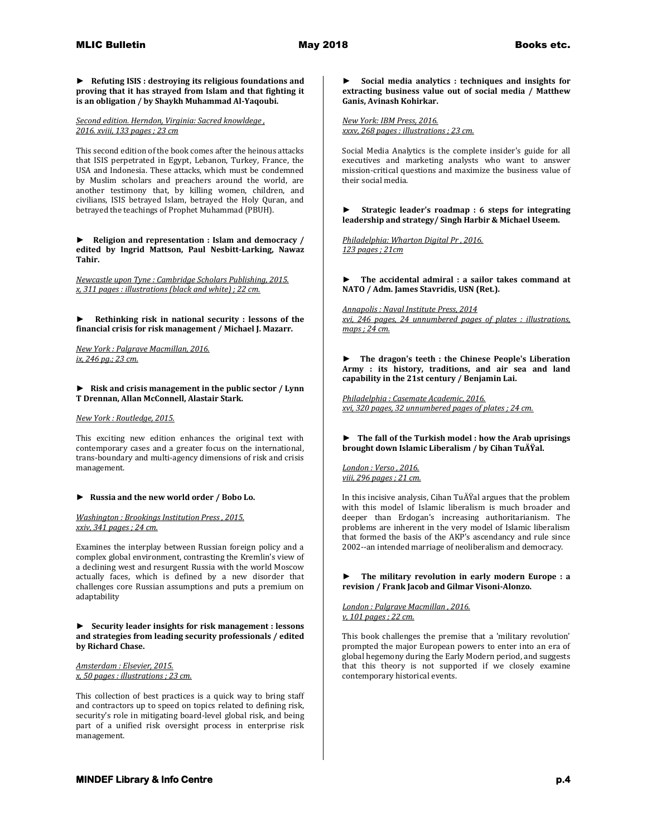**► Refuting ISIS : destroying its religious foundations and proving that it has strayed from Islam and that fighting it is an obligation / by Shaykh Muhammad Al-Yaqoubi.**

*Second edition. Herndon, Virginia: Sacred knowldege , 2016. xviii, 133 pages ; 23 cm*

This second edition of the book comes after the heinous attacks that ISIS perpetrated in Egypt, Lebanon, Turkey, France, the USA and Indonesia. These attacks, which must be condemned by Muslim scholars and preachers around the world, are another testimony that, by killing women, children, and civilians, ISIS betrayed Islam, betrayed the Holy Quran, and betrayed the teachings of Prophet Muhammad (PBUH).

**► Religion and representation : Islam and democracy / edited by Ingrid Mattson, Paul Nesbitt-Larking, Nawaz Tahir.**

*Newcastle upon Tyne : Cambridge Scholars Publishing, 2015. x, 311 pages : illustrations (black and white) ; 22 cm.* 

**► Rethinking risk in national security : lessons of the financial crisis for risk management / Michael J. Mazarr.**

*New York : Palgrave Macmillan, 2016. ix, 246 pg.; 23 cm.* 

**► Risk and crisis management in the public sector / Lynn T Drennan, Allan McConnell, Alastair Stark.**

*New York : Routledge, 2015.*

This exciting new edition enhances the original text with contemporary cases and a greater focus on the international, trans-boundary and multi-agency dimensions of risk and crisis management.

# **► Russia and the new world order / Bobo Lo.**

*Washington : Brookings Institution Press , 2015. xxiv, 341 pages ; 24 cm.*

Examines the interplay between Russian foreign policy and a complex global environment, contrasting the Kremlin's view of a declining west and resurgent Russia with the world Moscow actually faces, which is defined by a new disorder that challenges core Russian assumptions and puts a premium on adaptability

**► Security leader insights for risk management : lessons and strategies from leading security professionals / edited by Richard Chase.**

*Amsterdam : Elsevier, 2015. x, 50 pages : illustrations ; 23 cm.*

This collection of best practices is a quick way to bring staff and contractors up to speed on topics related to defining risk, security's role in mitigating board-level global risk, and being part of a unified risk oversight process in enterprise risk management.

**► Social media analytics : techniques and insights for extracting business value out of social media / Matthew Ganis, Avinash Kohirkar.**

*New York: IBM Press, 2016. xxxv, 268 pages : illustrations ; 23 cm.*

Social Media Analytics is the complete insider's guide for all executives and marketing analysts who want to answer mission-critical questions and maximize the business value of their social media.

**► Strategic leader's roadmap : 6 steps for integrating leadership and strategy/ Singh Harbir & Michael Useem.**

*Philadelphia: Wharton Digital Pr , 2016. 123 pages ; 21cm* 

**► The accidental admiral : a sailor takes command at NATO / Adm. James Stavridis, USN (Ret.).**

*Annapolis : Naval Institute Press, 2014 xvi, 246 pages, 24 unnumbered pages of plates : illustrations, maps ; 24 cm.* 

**► The dragon's teeth : the Chinese People's Liberation Army : its history, traditions, and air sea and land capability in the 21st century / Benjamin Lai.**

*Philadelphia : Casemate Academic, 2016. xvi, 320 pages, 32 unnumbered pages of plates ; 24 cm.* 

## **► The fall of the Turkish model : how the Arab uprisings brought down Islamic Liberalism / by Cihan TuÄŸal.**

*London : Verso , 2016. viii, 296 pages ; 21 cm.*

In this incisive analysis, Cihan TuÄŸal argues that the problem with this model of Islamic liberalism is much broader and deeper than Erdogan's increasing authoritarianism. The problems are inherent in the very model of Islamic liberalism that formed the basis of the AKP's ascendancy and rule since 2002--an intended marriage of neoliberalism and democracy.

**► The military revolution in early modern Europe : a revision / Frank Jacob and Gilmar Visoni-Alonzo.**

*London : Palgrave Macmillan , 2016. v, 101 pages ; 22 cm.*

This book challenges the premise that a 'military revolution' prompted the major European powers to enter into an era of global hegemony during the Early Modern period, and suggests that this theory is not supported if we closely examine contemporary historical events.